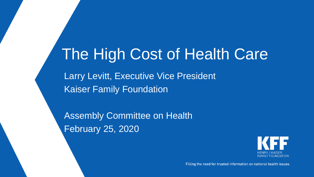# The High Cost of Health Care

Larry Levitt, Executive Vice President Kaiser Family Foundation

Assembly Committee on Health February 25, 2020



Filling the need for trusted information on national health issues.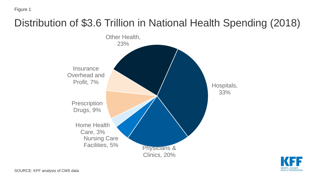## Distribution of \$3.6 Trillion in National Health Spending (2018)



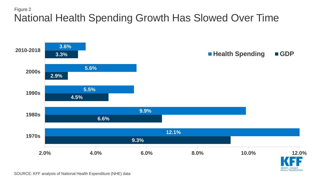#### Figure 2 National Health Spending Growth Has Slowed Over Time



SOURCE: KFF analysis of National Health Expenditure (NHE) data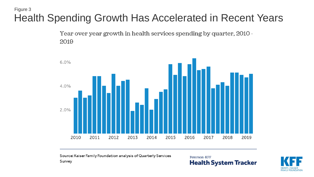#### Figure 3 Health Spending Growth Has Accelerated in Recent Years

Year over year growth in health services spending by quarter, 2010 -2019



Source: Kaiser Family Foundation analysis of Quarterly Services Survey

Peterson-KFF **Health System Tracker** 

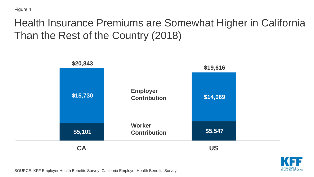#### Health Insurance Premiums are Somewhat Higher in California Than the Rest of the Country (2018)





SOURCE: KFF Employer Health Benefits Survey; California Employer Health Benefits Survey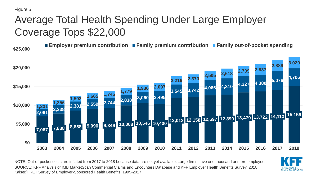### Average Total Health Spending Under Large Employer Coverage Tops \$22,000

**\$25,000 Employer premium contribution Family premium contribution Family out-of-pocket spending**



NOTE: Out-of-pocket costs are inflated from 2017 to 2018 because data are not yet available. Large firms have one thousand or more employees. SOURCE: KFF Analysis of IMB MarketScan Commercial Claims and Encounters Database and KFF Employer Health Benefits Survey, 2018; Kaiser/HRET Survey of Employer-Sponsored Health Benefits, 1999-2017

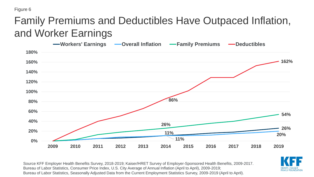#### Family Premiums and Deductibles Have Outpaced Inflation, and Worker Earnings



Source KFF Employer Health Benefits Survey, 2018-2019; Kaiser/HRET Survey of Employer-Sponsored Health Benefits, 2009-2017. Bureau of Labor Statistics, Consumer Price Index, U.S. City Average of Annual Inflation (April to April), 2009-2019; Bureau of Labor Statistics, Seasonally Adjusted Data from the Current Employment Statistics Survey, 2009-2019 (April to April).

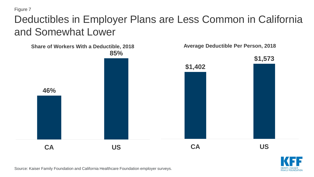#### Deductibles in Employer Plans are Less Common in California and Somewhat Lower





Source: Kaiser Family Foundation and California Healthcare Foundation employer surveys.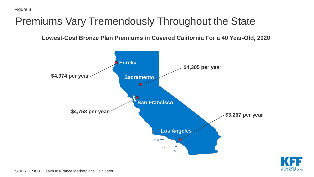#### Premiums Vary Tremendously Throughout the State

**Lowest-Cost Bronze Plan Premiums in Covered California For a 40 Year-Old, 2020**





SOURCE: KFF Health Insurance Marketplace Calculator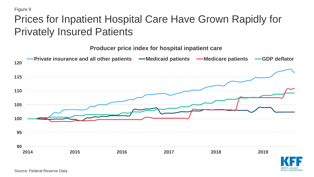#### Prices for Inpatient Hospital Care Have Grown Rapidly for Privately Insured Patients



**FAMILY FOUNDATIO**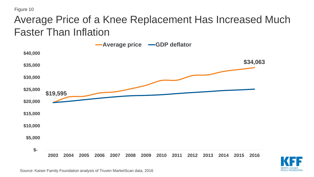#### Average Price of a Knee Replacement Has Increased Much Faster Than Inflation

![](_page_10_Figure_2.jpeg)

![](_page_10_Picture_3.jpeg)

Source: Kaiser Family Foundation analysis of Truven MarketScan data, 2016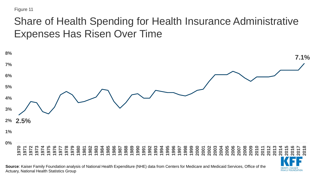#### Share of Health Spending for Health Insurance Administrative Expenses Has Risen Over Time

![](_page_11_Figure_2.jpeg)

**FAMILY FOUNDATIO** 

**Source**: Kaiser Family Foundation analysis of National Health Expenditure (NHE) data from Centers for Medicare and Medicaid Services, Office of the Actuary, National Health Statistics Group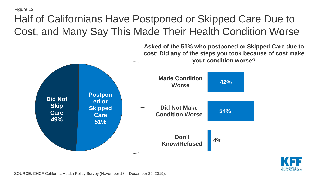## Half of Californians Have Postponed or Skipped Care Due to Cost, and Many Say This Made Their Health Condition Worse

![](_page_12_Figure_2.jpeg)

**Asked of the 51% who postponed or Skipped Care due to cost: Did any of the steps you took because of cost make** 

SOURCE: CHCF California Health Policy Survey (November 18 – December 30, 2019).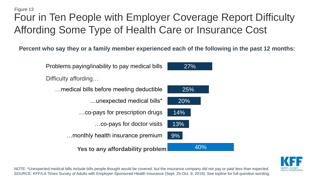#### Figure 13 Four in Ten People with Employer Coverage Report Difficulty Affording Some Type of Health Care or Insurance Cost

**Percent who say they or a family member experienced each of the following in the past 12 months:** 

![](_page_13_Figure_2.jpeg)

![](_page_13_Picture_3.jpeg)

NOTE: \*Unexpected medical bills include bills people thought would be covered, but the insurance company did not pay or paid less than expected. SOURCE: KFF/LA Times Survey of Adults with Employer-Sponsored Health Insurance (Sept. 25-Oct. 9, 2018). See topline for full question wording.